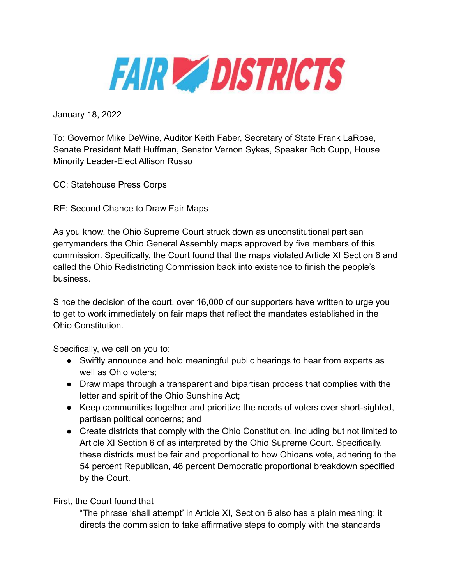

January 18, 2022

To: Governor Mike DeWine, Auditor Keith Faber, Secretary of State Frank LaRose, Senate President Matt Huffman, Senator Vernon Sykes, Speaker Bob Cupp, House Minority Leader-Elect Allison Russo

CC: Statehouse Press Corps

RE: Second Chance to Draw Fair Maps

As you know, the Ohio Supreme Court struck down as unconstitutional partisan gerrymanders the Ohio General Assembly maps approved by five members of this commission. Specifically, the Court found that the maps violated Article XI Section 6 and called the Ohio Redistricting Commission back into existence to finish the people's business.

Since the decision of the court, over 16,000 of our supporters have written to urge you to get to work immediately on fair maps that reflect the mandates established in the Ohio Constitution.

Specifically, we call on you to:

- Swiftly announce and hold meaningful public hearings to hear from experts as well as Ohio voters;
- Draw maps through a transparent and bipartisan process that complies with the letter and spirit of the Ohio Sunshine Act;
- Keep communities together and prioritize the needs of voters over short-sighted, partisan political concerns; and
- Create districts that comply with the Ohio Constitution, including but not limited to Article XI Section 6 of as interpreted by the Ohio Supreme Court. Specifically, these districts must be fair and proportional to how Ohioans vote, adhering to the 54 percent Republican, 46 percent Democratic proportional breakdown specified by the Court.

## First, the Court found that

"The phrase 'shall attempt' in Article XI, Section 6 also has a plain meaning: it directs the commission to take affirmative steps to comply with the standards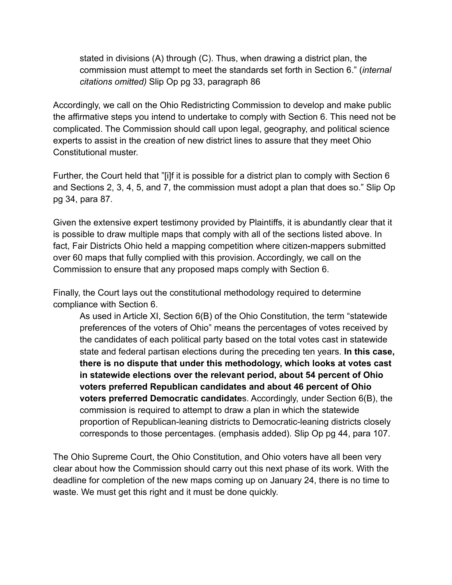stated in divisions (A) through (C). Thus, when drawing a district plan, the commission must attempt to meet the standards set forth in Section 6." (*internal citations omitted)* Slip Op pg 33, paragraph 86

Accordingly, we call on the Ohio Redistricting Commission to develop and make public the affirmative steps you intend to undertake to comply with Section 6. This need not be complicated. The Commission should call upon legal, geography, and political science experts to assist in the creation of new district lines to assure that they meet Ohio Constitutional muster.

Further, the Court held that "[i]f it is possible for a district plan to comply with Section 6 and Sections 2, 3, 4, 5, and 7, the commission must adopt a plan that does so." Slip Op pg 34, para 87.

Given the extensive expert testimony provided by Plaintiffs, it is abundantly clear that it is possible to draw multiple maps that comply with all of the sections listed above. In fact, Fair Districts Ohio held a mapping competition where citizen-mappers submitted over 60 maps that fully complied with this provision. Accordingly, we call on the Commission to ensure that any proposed maps comply with Section 6.

Finally, the Court lays out the constitutional methodology required to determine compliance with Section 6.

As used in Article XI, Section 6(B) of the Ohio Constitution, the term "statewide preferences of the voters of Ohio" means the percentages of votes received by the candidates of each political party based on the total votes cast in statewide state and federal partisan elections during the preceding ten years. **In this case, there is no dispute that under this methodology, which looks at votes cast in statewide elections over the relevant period, about 54 percent of Ohio voters preferred Republican candidates and about 46 percent of Ohio voters preferred Democratic candidate**s. Accordingly, under Section 6(B), the commission is required to attempt to draw a plan in which the statewide proportion of Republican-leaning districts to Democratic-leaning districts closely corresponds to those percentages. (emphasis added). Slip Op pg 44, para 107.

The Ohio Supreme Court, the Ohio Constitution, and Ohio voters have all been very clear about how the Commission should carry out this next phase of its work. With the deadline for completion of the new maps coming up on January 24, there is no time to waste. We must get this right and it must be done quickly.